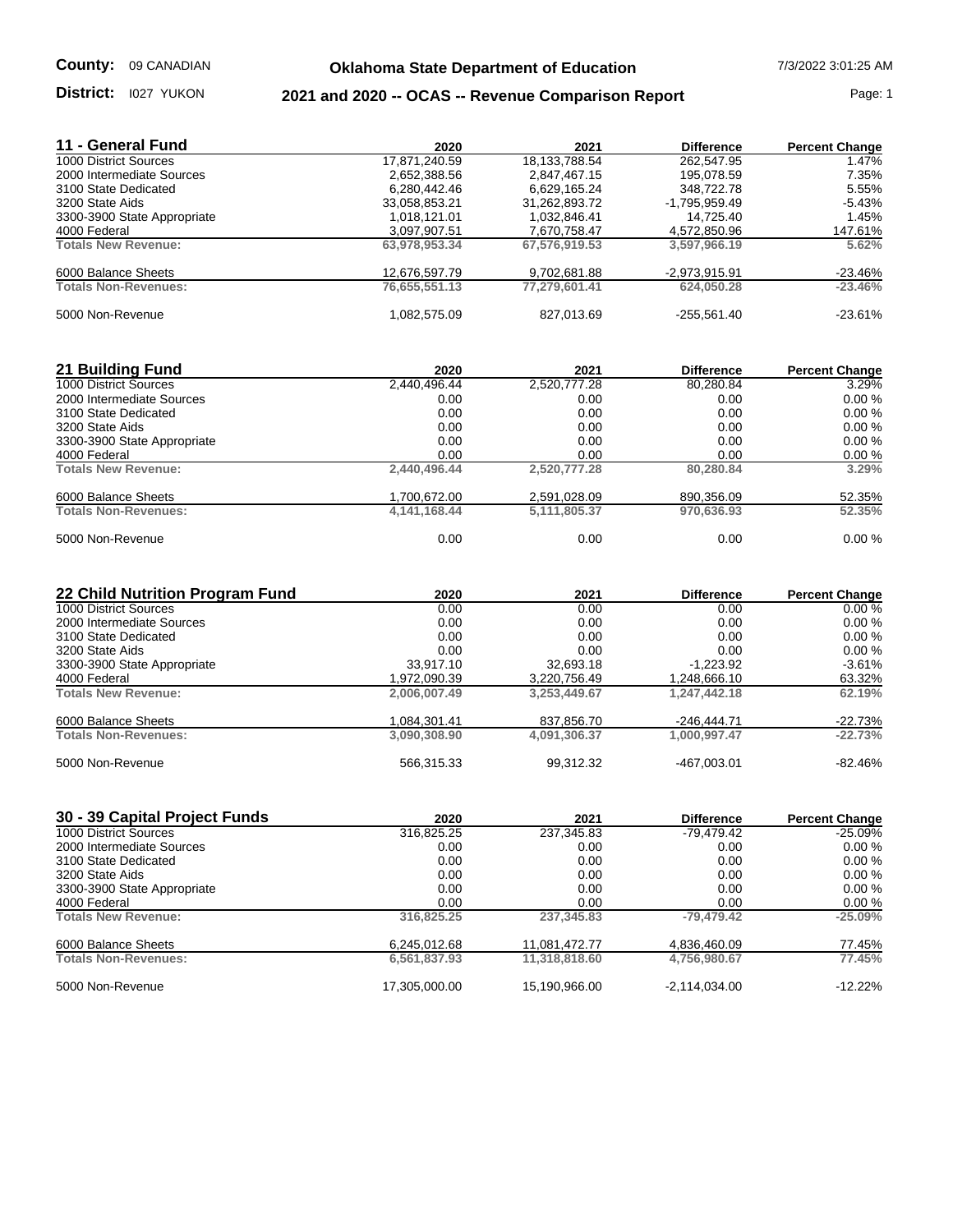## **Oklahoma State Department of Education** 7/3/2022 3:01:25 AM

## **District:** l027 YUKON **2021 and 2020 -- OCAS -- Revenue Comparison Report Page: 1**

| 11 - General Fund           | 2020          | 2021          | <b>Difference</b> | <b>Percent Change</b> |
|-----------------------------|---------------|---------------|-------------------|-----------------------|
| 1000 District Sources       | 17,871,240.59 | 18,133,788.54 | 262,547.95        | 1.47%                 |
| 2000 Intermediate Sources   | 2,652,388.56  | 2,847,467.15  | 195.078.59        | 7.35%                 |
| 3100 State Dedicated        | 6.280.442.46  | 6.629.165.24  | 348.722.78        | 5.55%                 |
| 3200 State Aids             | 33.058.853.21 | 31.262.893.72 | -1.795.959.49     | $-5.43%$              |
| 3300-3900 State Appropriate | 1.018.121.01  | 1,032,846.41  | 14.725.40         | 1.45%                 |
| 4000 Federal                | 3,097,907.51  | 7,670,758.47  | 4,572,850.96      | 147.61%               |
| <b>Totals New Revenue:</b>  | 63,978,953.34 | 67,576,919.53 | 3,597,966.19      | 5.62%                 |
| 6000 Balance Sheets         | 12,676,597.79 | 9,702,681.88  | $-2,973,915.91$   | $-23.46%$             |
| <b>Totals Non-Revenues:</b> | 76.655.551.13 | 77.279.601.41 | 624.050.28        | $-23.46%$             |
| 5000 Non-Revenue            | 1.082.575.09  | 827.013.69    | $-255.561.40$     | $-23.61%$             |

| 21 Building Fund            | 2020            | 2021         | <b>Difference</b> | <b>Percent Change</b> |
|-----------------------------|-----------------|--------------|-------------------|-----------------------|
| 1000 District Sources       | 2,440,496.44    | 2,520,777.28 | 80,280.84         | 3.29%                 |
| 2000 Intermediate Sources   | 0.00            | 0.00         | 0.00              | 0.00%                 |
| 3100 State Dedicated        | 0.00            | 0.00         | 0.00              | 0.00%                 |
| 3200 State Aids             | 0.00            | 0.00         | 0.00              | 0.00%                 |
| 3300-3900 State Appropriate | 0.00            | 0.00         | 0.00              | 0.00%                 |
| 4000 Federal                | 0.00            | 0.00         | 0.00              | 0.00%                 |
| <b>Totals New Revenue:</b>  | 2,440,496.44    | 2,520,777.28 | 80.280.84         | 3.29%                 |
| 6000 Balance Sheets         | 1,700,672.00    | 2,591,028.09 | 890,356.09        | 52.35%                |
| <b>Totals Non-Revenues:</b> | 4, 141, 168. 44 | 5,111,805.37 | 970.636.93        | 52.35%                |
| 5000 Non-Revenue            | 0.00            | 0.00         | 0.00              | 0.00%                 |

| 22 Child Nutrition Program Fund | 2020         | 2021         | <b>Difference</b> | <b>Percent Change</b> |
|---------------------------------|--------------|--------------|-------------------|-----------------------|
| 1000 District Sources           | 0.00         | 0.00         | 0.00              | 0.00%                 |
| 2000 Intermediate Sources       | 0.00         | 0.00         | 0.00              | 0.00%                 |
| 3100 State Dedicated            | 0.00         | 0.00         | 0.00              | 0.00%                 |
| 3200 State Aids                 | 0.00         | 0.00         | 0.00              | 0.00%                 |
| 3300-3900 State Appropriate     | 33.917.10    | 32.693.18    | $-1,223.92$       | $-3.61%$              |
| 4000 Federal                    | 1,972,090.39 | 3,220,756.49 | 1.248.666.10      | 63.32%                |
| <b>Totals New Revenue:</b>      | 2,006,007.49 | 3.253.449.67 | 1.247.442.18      | 62.19%                |
| 6000 Balance Sheets             | 1,084,301.41 | 837,856.70   | $-246,444.71$     | $-22.73%$             |
| <b>Totals Non-Revenues:</b>     | 3,090,308.90 | 4,091,306.37 | 1,000,997.47      | $-22.73%$             |
| 5000 Non-Revenue                | 566,315.33   | 99,312.32    | $-467.003.01$     | $-82.46%$             |

| 30 - 39 Capital Project Funds | 2020          | 2021          | <b>Difference</b> | <b>Percent Change</b> |
|-------------------------------|---------------|---------------|-------------------|-----------------------|
| 1000 District Sources         | 316,825.25    | 237,345.83    | -79.479.42        | $-25.09%$             |
| 2000 Intermediate Sources     | 0.00          | 0.00          | 0.00              | 0.00%                 |
| 3100 State Dedicated          | 0.00          | 0.00          | 0.00              | 0.00%                 |
| 3200 State Aids               | 0.00          | 0.00          | 0.00              | 0.00%                 |
| 3300-3900 State Appropriate   | 0.00          | 0.00          | 0.00              | 0.00%                 |
| 4000 Federal                  | 0.00          | 0.00          | 0.00              | 0.00%                 |
| <b>Totals New Revenue:</b>    | 316.825.25    | 237.345.83    | $-79.479.42$      | $-25.09%$             |
| 6000 Balance Sheets           | 6,245,012.68  | 11,081,472.77 | 4,836,460.09      | 77.45%                |
| <b>Totals Non-Revenues:</b>   | 6,561,837.93  | 11,318,818.60 | 4.756.980.67      | 77.45%                |
| 5000 Non-Revenue              | 17,305,000.00 | 15,190,966.00 | $-2,114,034.00$   | $-12.22%$             |